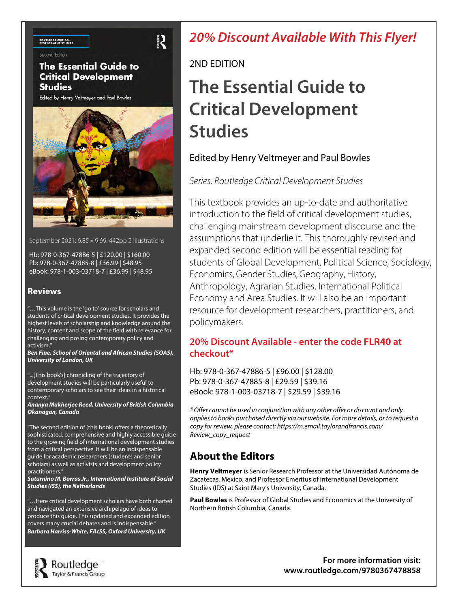#### **ROUTLEDGE CRITICAL**<br>DEVELOPMENT STUDIES

**Connect Edition** 

#### **The Essential Guide to Critical Development Studies**

Edited by Henry Veltmeyer and Paul Bowles



September 2021: 6.85 x 9.69: 442pp 2 illustrations

Hb: 978-0-367-47886-5 | £120.00 | \$160.00 Pb: 978-0-367-47885-8 | £36.99 | \$48.95 eBook: 978-1-003-03718-7 | £36.99 | \$48.95

#### **Reviews**

"…This volume is the 'go to' source for scholars and students of critical development studies. It provides the highest levels of scholarship and knowledge around the history, content and scope of the field with relevance for challenging and posing contemporary policy and activism."

**Ben Fine, School of Oriental and African Studies (SOAS), University of London, UK**

"...[This book's] chronicling of the trajectory of development studies will be particularly useful to contemporary scholars to see their ideas in a historical context."

**Ananya Mukherjee Reed, University of British Columbia Okanagan, Canada**

"The second edition of [this book] offers a theoretically sophisticated, comprehensive and highly accessible guide to the growing field of international development studies from a critical perspective. It will be an indispensable guide for academic researchers (students and senior scholars) as well as activists and development policy practitioners."

**Saturnino M. Borras Jr., International Institute of Social Studies (ISS), the Netherlands**

"…Here critical development scholars have both charted and navigated an extensive archipelago of ideas to produce this guide. This updated and expanded edition covers many crucial debates and is indispensable." **Barbara Harriss-White, FAcSS, Oxford University, UK**

## **20% Discount Available With This Flyer!**

#### 2ND EDITION

## **The Essential Guide to Critical Development Studies**

#### Edited by Henry Veltmeyer and Paul Bowles

#### Series: Routledge Critical Development Studies

This textbook provides an up-to-date and authoritative introduction to the field of critical development studies, challenging mainstream development discourse and the assumptions that underlie it. This thoroughly revised and expanded second edition will be essential reading for students of Global Development, Political Science, Sociology, Economics, Gender Studies, Geography, History, Anthropology, Agrarian Studies, International Political Economy and Area Studies. It will also be an important resource for development researchers, practitioners, and policymakers.

#### **20% Discount Available - enter the code FLR40 at checkout\***

Hb: 978-0-367-47886-5 | £96.00 | \$128.00 Pb: 978-0-367-47885-8 | £29.59 | \$39.16 eBook: 978-1-003-03718-7 | \$29.59 | \$39.16

\* Offer cannot be used in conjunction with any other offer or discount and only applies to books purchased directly via our website. For more details, or to request a copy for review, please contact: https://m.email.taylorandfrancis.com/ Review\_copy\_request

### **About the Editors**

**Henry Veltmeyer** is Senior Research Professor at the Universidad Autónoma de Zacatecas, Mexico, and Professor Emeritus of International Development Studies (IDS) at Saint Mary's University, Canada.

**Paul Bowles** is Professor of Global Studies and Economics at the University of Northern British Columbia, Canada.



**For more information visit: [www.routledge.com/9780367478858](http://www.routledge.com/9780367478858)**